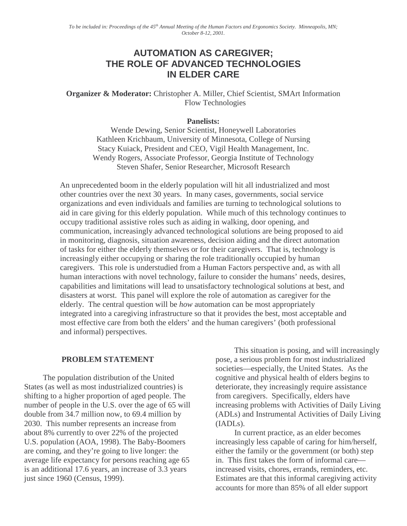# **AUTOMATION AS CAREGIVER; THE ROLE OF ADVANCED TECHNOLOGIES IN ELDER CARE**

**Organizer & Moderator:** Christopher A. Miller, Chief Scientist, SMArt Information Flow Technologies

#### **Panelists:**

Wende Dewing, Senior Scientist, Honeywell Laboratories Kathleen Krichbaum, University of Minnesota, College of Nursing Stacy Kuiack, President and CEO, Vigil Health Management, Inc. Wendy Rogers, Associate Professor, Georgia Institute of Technology Steven Shafer, Senior Researcher, Microsoft Research

An unprecedented boom in the elderly population will hit all industrialized and most other countries over the next 30 years. In many cases, governments, social service organizations and even individuals and families are turning to technological solutions to aid in care giving for this elderly population. While much of this technology continues to occupy traditional assistive roles such as aiding in walking, door opening, and communication, increasingly advanced technological solutions are being proposed to aid in monitoring, diagnosis, situation awareness, decision aiding and the direct automation of tasks for either the elderly themselves or for their caregivers. That is, technology is increasingly either occupying or sharing the role traditionally occupied by human caregivers. This role is understudied from a Human Factors perspective and, as with all human interactions with novel technology, failure to consider the humans' needs, desires, capabilities and limitations will lead to unsatisfactory technological solutions at best, and disasters at worst. This panel will explore the role of automation as caregiver for the elderly. The central question will be *how* automation can be most appropriately integrated into a caregiving infrastructure so that it provides the best, most acceptable and most effective care from both the elders' and the human caregivers' (both professional and informal) perspectives.

#### **PROBLEM STATEMENT**

The population distribution of the United States (as well as most industrialized countries) is shifting to a higher proportion of aged people. The number of people in the U.S. over the age of 65 will double from 34.7 million now, to 69.4 million by 2030. This number represents an increase from about 8% currently to over 22% of the projected U.S. population (AOA, 1998). The Baby-Boomers are coming, and they're going to live longer: the average life expectancy for persons reaching age 65 is an additional 17.6 years, an increase of 3.3 years just since 1960 (Census, 1999).

This situation is posing, and will increasingly pose, a serious problem for most industrialized societies—especially, the United States. As the cognitive and physical health of elders begins to deteriorate, they increasingly require assistance from caregivers. Specifically, elders have increasing problems with Activities of Daily Living (ADLs) and Instrumental Activities of Daily Living (IADLs).

In current practice, as an elder becomes increasingly less capable of caring for him/herself, either the family or the government (or both) step in. This first takes the form of informal care increased visits, chores, errands, reminders, etc. Estimates are that this informal caregiving activity accounts for more than 85% of all elder support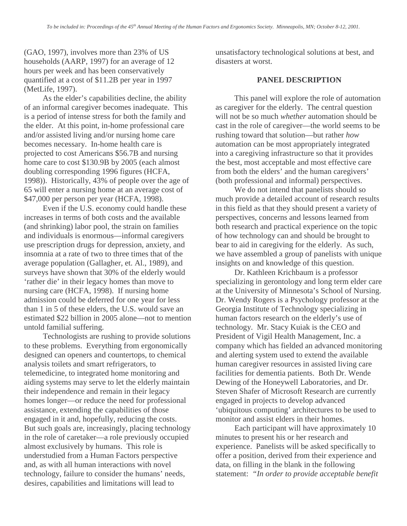(GAO, 1997), involves more than 23% of US households (AARP, 1997) for an average of 12 hours per week and has been conservatively quantified at a cost of \$11.2B per year in 1997 (MetLife, 1997).

As the elder's capabilities decline, the ability of an informal caregiver becomes inadequate. This is a period of intense stress for both the family and the elder. At this point, in-home professional care and/or assisted living and/or nursing home care becomes necessary. In-home health care is projected to cost Americans \$56.7B and nursing home care to cost \$130.9B by 2005 (each almost doubling corresponding 1996 figures (HCFA, 1998)). Historically, 43% of people over the age of 65 will enter a nursing home at an average cost of \$47,000 per person per year (HCFA, 1998).

Even if the U.S. economy could handle these increases in terms of both costs and the available (and shrinking) labor pool, the strain on families and individuals is enormous—informal caregivers use prescription drugs for depression, anxiety, and insomnia at a rate of two to three times that of the average population (Gallagher, et. Al., 1989), and surveys have shown that 30% of the elderly would 'rather die' in their legacy homes than move to nursing care (HCFA, 1998). If nursing home admission could be deferred for one year for less than 1 in 5 of these elders, the U.S. would save an estimated \$22 billion in 2005 alone—not to mention untold familial suffering.

Technologists are rushing to provide solutions to these problems. Everything from ergonomically designed can openers and countertops, to chemical analysis toilets and smart refrigerators, to telemedicine, to integrated home monitoring and aiding systems may serve to let the elderly maintain their independence and remain in their legacy homes longer—or reduce the need for professional assistance, extending the capabilities of those engaged in it and, hopefully, reducing the costs. But such goals are, increasingly, placing technology in the role of caretaker—a role previously occupied almost exclusively by humans. This role is understudied from a Human Factors perspective and, as with all human interactions with novel technology, failure to consider the humans' needs, desires, capabilities and limitations will lead to

unsatisfactory technological solutions at best, and disasters at worst.

#### **PANEL DESCRIPTION**

This panel will explore the role of automation as caregiver for the elderly. The central question will not be so much *whether* automation should be cast in the role of caregiver—the world seems to be rushing toward that solution—but rather *how* automation can be most appropriately integrated into a caregiving infrastructure so that it provides the best, most acceptable and most effective care from both the elders' and the human caregivers' (both professional and informal) perspectives.

We do not intend that panelists should so much provide a detailed account of research results in this field as that they should present a variety of perspectives, concerns and lessons learned from both research and practical experience on the topic of how technology can and should be brought to bear to aid in caregiving for the elderly. As such, we have assembled a group of panelists with unique insights on and knowledge of this question.

Dr. Kathleen Krichbaum is a professor specializing in gerontology and long term elder care at the University of Minnesota's School of Nursing. Dr. Wendy Rogers is a Psychology professor at the Georgia Institute of Technology specializing in human factors research on the elderly's use of technology. Mr. Stacy Kuiak is the CEO and President of Vigil Health Management, Inc. a company which has fielded an advanced monitoring and alerting system used to extend the available human caregiver resources in assisted living care facilities for dementia patients. Both Dr. Wende Dewing of the Honeywell Laboratories, and Dr. Steven Shafer of Microsoft Research are currently engaged in projects to develop advanced 'ubiquitous computing' architectures to be used to monitor and assist elders in their homes.

Each participant will have approximately 10 minutes to present his or her research and experience. Panelists will be asked specifically to offer a position, derived from their experience and data, on filling in the blank in the following statement: *"In order to provide acceptable benefit*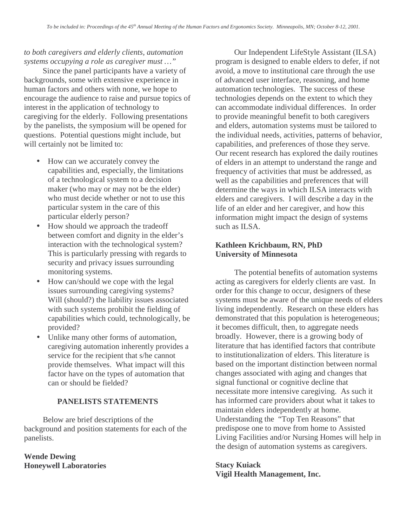# *to both caregivers and elderly clients, automation systems occupying a role as caregiver must …"*

Since the panel participants have a variety of backgrounds, some with extensive experience in human factors and others with none, we hope to encourage the audience to raise and pursue topics of interest in the application of technology to caregiving for the elderly. Following presentations by the panelists, the symposium will be opened for questions. Potential questions might include, but will certainly not be limited to:

- How can we accurately convey the capabilities and, especially, the limitations of a technological system to a decision maker (who may or may not be the elder) who must decide whether or not to use this particular system in the care of this particular elderly person?
- How should we approach the tradeoff between comfort and dignity in the elder's interaction with the technological system? This is particularly pressing with regards to security and privacy issues surrounding monitoring systems.
- How can/should we cope with the legal issues surrounding caregiving systems? Will (should?) the liability issues associated with such systems prohibit the fielding of capabilities which could, technologically, be provided?
- Unlike many other forms of automation, caregiving automation inherently provides a service for the recipient that s/he cannot provide themselves. What impact will this factor have on the types of automation that can or should be fielded?

### **PANELISTS STATEMENTS**

Below are brief descriptions of the background and position statements for each of the panelists.

**Wende Dewing Honeywell Laboratories**

Our Independent LifeStyle Assistant (ILSA) program is designed to enable elders to defer, if not avoid, a move to institutional care through the use of advanced user interface, reasoning, and home automation technologies. The success of these technologies depends on the extent to which they can accommodate individual differences. In order to provide meaningful benefit to both caregivers and elders, automation systems must be tailored to the individual needs, activities, patterns of behavior, capabilities, and preferences of those they serve. Our recent research has explored the daily routines of elders in an attempt to understand the range and frequency of activities that must be addressed, as well as the capabilities and preferences that will determine the ways in which ILSA interacts with elders and caregivers. I will describe a day in the life of an elder and her caregiver, and how this information might impact the design of systems such as ILSA.

# **Kathleen Krichbaum, RN, PhD University of Minnesota**

The potential benefits of automation systems acting as caregivers for elderly clients are vast. In order for this change to occur, designers of these systems must be aware of the unique needs of elders living independently. Research on these elders has demonstrated that this population is heterogeneous; it becomes difficult, then, to aggregate needs broadly. However, there is a growing body of literature that has identified factors that contribute to institutionalization of elders. This literature is based on the important distinction between normal changes associated with aging and changes that signal functional or cognitive decline that necessitate more intensive caregiving. As such it has informed care providers about what it takes to maintain elders independently at home. Understanding the "Top Ten Reasons" that predispose one to move from home to Assisted Living Facilities and/or Nursing Homes will help in the design of automation systems as caregivers.

**Stacy Kuiack Vigil Health Management, Inc.**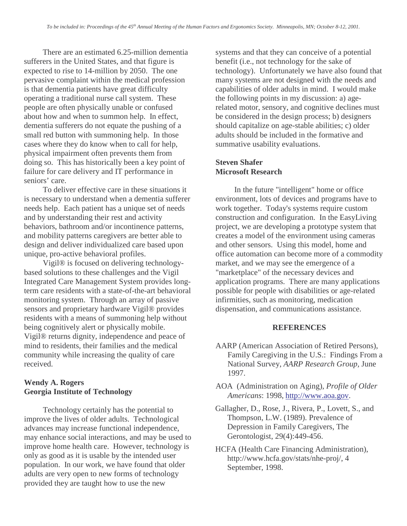There are an estimated 6.25-million dementia sufferers in the United States, and that figure is expected to rise to 14-million by 2050. The one pervasive complaint within the medical profession is that dementia patients have great difficulty operating a traditional nurse call system. These people are often physically unable or confused about how and when to summon help. In effect, dementia sufferers do not equate the pushing of a small red button with summoning help. In those cases where they do know when to call for help, physical impairment often prevents them from doing so. This has historically been a key point of failure for care delivery and IT performance in seniors' care.

To deliver effective care in these situations it is necessary to understand when a dementia sufferer needs help. Each patient has a unique set of needs and by understanding their rest and activity behaviors, bathroom and/or incontinence patterns, and mobility patterns caregivers are better able to design and deliver individualized care based upon unique, pro-active behavioral profiles.

Vigil® is focused on delivering technologybased solutions to these challenges and the Vigil Integrated Care Management System provides longterm care residents with a state-of-the-art behavioral monitoring system. Through an array of passive sensors and proprietary hardware Vigil® provides residents with a means of summoning help without being cognitively alert or physically mobile. Vigil® returns dignity, independence and peace of mind to residents, their families and the medical community while increasing the quality of care received.

### **Wendy A. Rogers Georgia Institute of Technology**

Technology certainly has the potential to improve the lives of older adults. Technological advances may increase functional independence, may enhance social interactions, and may be used to improve home health care. However, technology is only as good as it is usable by the intended user population. In our work, we have found that older adults are very open to new forms of technology provided they are taught how to use the new

systems and that they can conceive of a potential benefit (i.e., not technology for the sake of technology). Unfortunately we have also found that many systems are not designed with the needs and capabilities of older adults in mind. I would make the following points in my discussion: a) agerelated motor, sensory, and cognitive declines must be considered in the design process; b) designers should capitalize on age-stable abilities; c) older adults should be included in the formative and summative usability evaluations.

### **Steven Shafer Microsoft Research**

In the future "intelligent" home or office environment, lots of devices and programs have to work together. Today's systems require custom construction and configuration. In the EasyLiving project, we are developing a prototype system that creates a model of the environment using cameras and other sensors. Using this model, home and office automation can become more of a commodity market, and we may see the emergence of a "marketplace" of the necessary devices and application programs. There are many applications possible for people with disabilities or age-related infirmities, such as monitoring, medication dispensation, and communications assistance.

#### **REFERENCES**

- AARP (American Association of Retired Persons), Family Caregiving in the U.S.: Findings From a National Survey, *AARP Research Group,* June 1997.
- AOA (Administration on Aging), *Profile of Older Americans*: 1998, http://www.aoa.gov.
- Gallagher, D., Rose, J., Rivera, P., Lovett, S., and Thompson, L.W. (1989). Prevalence of Depression in Family Caregivers, The Gerontologist, 29(4):449-456.
- HCFA (Health Care Financing Administration), http://www.hcfa.gov/stats/nhe-proj/, 4 September, 1998.